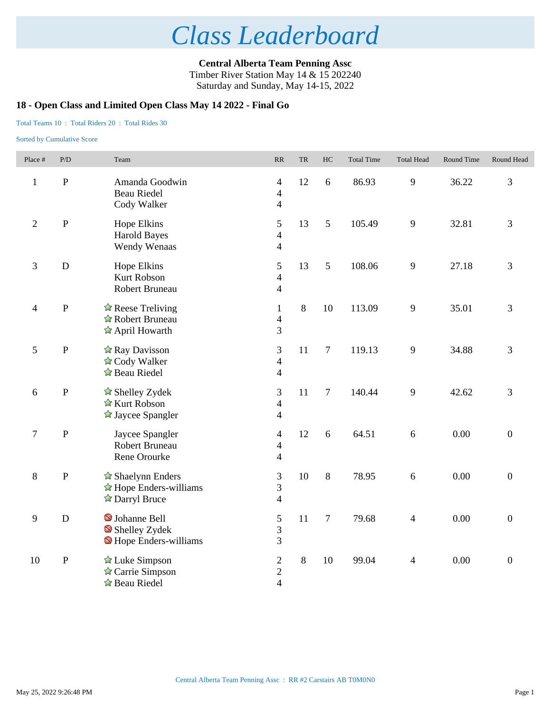**Central Alberta Team Penning Assc** Timber River Station May 14 & 15 202240 Saturday and Sunday, May 14-15, 2022

### **18 - Open Class and Limited Open Class May 14 2022 - Final Go**

Total Teams 10 : Total Riders 20 : Total Rides 30

| Place #        | P/D       | Team                                                                                          | $\ensuremath{\mathbf{R}}\ensuremath{\mathbf{R}}$             | ${\rm TR}$ | HC             | <b>Total Time</b> | <b>Total Head</b> | Round Time | Round Head       |
|----------------|-----------|-----------------------------------------------------------------------------------------------|--------------------------------------------------------------|------------|----------------|-------------------|-------------------|------------|------------------|
| $\mathbf{1}$   | ${\bf P}$ | Amanda Goodwin<br><b>Beau Riedel</b><br>Cody Walker                                           | $\overline{4}$<br>$\overline{4}$<br>$\overline{4}$           | 12         | 6              | 86.93             | 9                 | 36.22      | 3                |
| $\sqrt{2}$     | ${\bf P}$ | Hope Elkins<br><b>Harold Bayes</b><br>Wendy Wenaas                                            | 5<br>$\overline{4}$<br>$\overline{4}$                        | 13         | 5              | 105.49            | 9                 | 32.81      | 3                |
| $\mathfrak{Z}$ | D         | Hope Elkins<br><b>Kurt Robson</b><br>Robert Bruneau                                           | 5<br>$\overline{4}$<br>$\overline{4}$                        | 13         | 5              | 108.06            | 9                 | 27.18      | 3                |
| $\overline{4}$ | ${\bf P}$ | $\hat{\mathbb{Z}}$ Reese Treliving<br>☆ Robert Bruneau<br>$\hat{\mathbb{Z}}$ April Howarth    | $\mathbf{1}$<br>$\overline{4}$<br>3                          | 8          | 10             | 113.09            | 9                 | 35.01      | 3                |
| 5              | ${\bf P}$ | $\hat{\mathbb{Z}}$ Ray Davisson<br>☆ Cody Walker<br>☆ Beau Riedel                             | 3<br>$\overline{4}$<br>$\overline{4}$                        | 11         | $\overline{7}$ | 119.13            | 9                 | 34.88      | 3                |
| 6              | ${\bf P}$ | $\triangle$ Shelley Zydek<br>☆ Kurt Robson<br>$\triangle$ Jaycee Spangler                     | 3<br>$\overline{4}$<br>$\overline{4}$                        | 11         | $\tau$         | 140.44            | 9                 | 42.62      | 3                |
| $\tau$         | ${\bf P}$ | Jaycee Spangler<br><b>Robert Bruneau</b><br>Rene Orourke                                      | $\overline{4}$<br>$\overline{\mathcal{A}}$<br>$\overline{4}$ | 12         | 6              | 64.51             | 6                 | 0.00       | $\boldsymbol{0}$ |
| $8\,$          | ${\bf P}$ | $\triangle$ Shaelynn Enders<br>$\hat{\mathbb{Z}}$ Hope Enders-williams<br><b>Darryl Bruce</b> | 3<br>3<br>$\overline{4}$                                     | 10         | 8              | 78.95             | 6                 | 0.00       | $\overline{0}$   |
| 9              | D         | S Johanne Bell<br>Shelley Zydek<br>Hope Enders-williams                                       | $\mathfrak{S}$<br>$\overline{3}$<br>3                        | 11         | $\tau$         | 79.68             | $\overline{4}$    | 0.00       | $\overline{0}$   |
| 10             | ${\bf P}$ | $\hat{\mathbb{Z}}$ Luke Simpson<br>$\triangle$ Carrie Simpson<br>☆ Beau Riedel                | $\mathbf{2}$<br>$\overline{c}$<br>$\overline{4}$             | $8\,$      | 10             | 99.04             | $\overline{4}$    | 0.00       | $\boldsymbol{0}$ |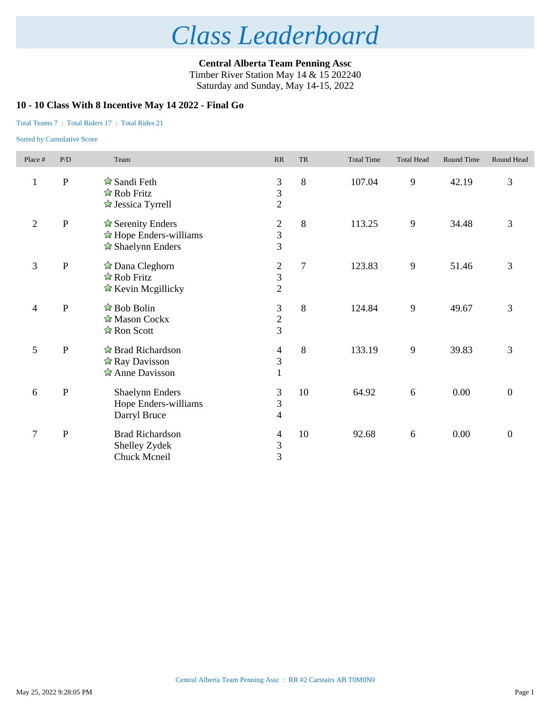**Central Alberta Team Penning Assc** Timber River Station May 14 & 15 202240 Saturday and Sunday, May 14-15, 2022

### **10 - 10 Class With 8 Incentive May 14 2022 - Final Go**

### Total Teams 7 : Total Riders 17 : Total Rides 21

| Place #          | P/D          | Team                                                                                                      | RR                                                           | <b>TR</b> | <b>Total Time</b> | <b>Total Head</b> | Round Time | Round Head       |
|------------------|--------------|-----------------------------------------------------------------------------------------------------------|--------------------------------------------------------------|-----------|-------------------|-------------------|------------|------------------|
| $\mathbf{1}$     | $\mathbf P$  | $\hat{\mathbf{\times}}$ Sandi Feth<br>$\hat{\mathbb{Z}}$ Rob Fritz<br>$\triangle$ Jessica Tyrrell         | $\frac{3}{3}$<br>$\overline{2}$                              | 8         | 107.04            | 9                 | 42.19      | 3                |
| $\overline{2}$   | ${\bf P}$    | $\triangle$ Serenity Enders<br>$\hat{\mathbb{Z}}$ Hope Enders-williams<br>$\triangle$ Shaelynn Enders     | $\overline{c}$<br>$\frac{3}{3}$                              | 8         | 113.25            | 9                 | 34.48      | 3                |
| $\mathfrak{Z}$   | ${\bf P}$    | $\hat{\mathbb{Z}}$ Dana Cleghorn<br>$\hat{z}$ Rob Fritz<br>$\hat{\mathbb{Z}}$ Kevin Megillicky            | $\overline{c}$<br>$\frac{3}{2}$                              | $\tau$    | 123.83            | 9                 | 51.46      | 3                |
| $\overline{4}$   | $\mathbf P$  | $\hat{\mathbb{Z}}$ Bob Bolin<br>Mason Cockx<br>$\hat{\mathbb{Z}}$ Ron Scott                               | $\begin{array}{c} 3 \\ 2 \\ 3 \end{array}$                   | 8         | 124.84            | 9                 | 49.67      | 3                |
| 5                | $\, {\bf P}$ | $\hat{\mathbb{Z}}$ Brad Richardson<br>$\hat{\mathbb{Z}}$ Ray Davisson<br>$\hat{\mathbb{Z}}$ Anne Davisson | 4<br>$\overline{3}$<br>$\mathbf{1}$                          | 8         | 133.19            | 9                 | 39.83      | 3                |
| $\sqrt{6}$       | ${\bf P}$    | <b>Shaelynn Enders</b><br>Hope Enders-williams<br>Darryl Bruce                                            | $\mathfrak{Z}$<br>$\overline{3}$<br>$\overline{\mathcal{L}}$ | 10        | 64.92             | 6                 | $0.00\,$   | $\boldsymbol{0}$ |
| $\boldsymbol{7}$ | ${\bf P}$    | <b>Brad Richardson</b><br>Shelley Zydek<br>Chuck Mcneil                                                   | 4<br>$\frac{3}{3}$                                           | 10        | 92.68             | 6                 | 0.00       | $\boldsymbol{0}$ |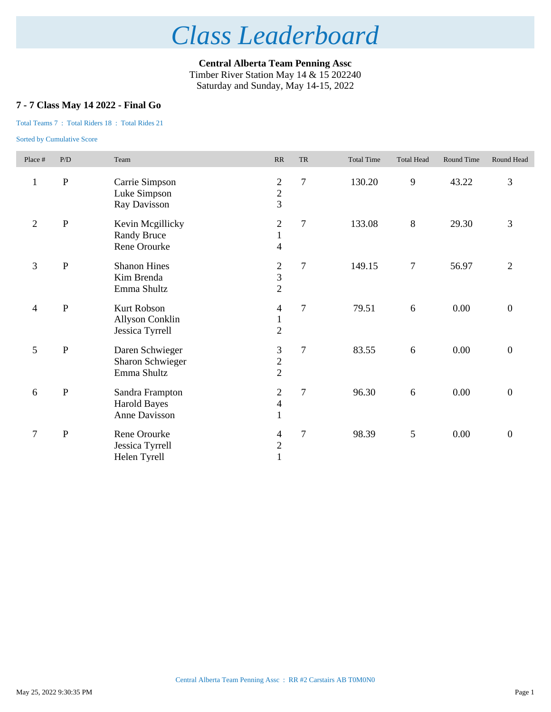**Central Alberta Team Penning Assc** Timber River Station May 14 & 15 202240 Saturday and Sunday, May 14-15, 2022

## **7 - 7 Class May 14 2022 - Final Go**

### Total Teams 7 : Total Riders 18 : Total Rides 21

| Place #        | P/D       | Team                                                     | RR                                                          | <b>TR</b> | <b>Total Time</b> | <b>Total Head</b> | Round Time | Round Head       |
|----------------|-----------|----------------------------------------------------------|-------------------------------------------------------------|-----------|-------------------|-------------------|------------|------------------|
| $\mathbf{1}$   | ${\bf P}$ | Carrie Simpson<br>Luke Simpson<br>Ray Davisson           | $\boldsymbol{2}$<br>$\frac{2}{3}$                           | $\tau$    | 130.20            | 9                 | 43.22      | 3                |
| $\mathfrak{2}$ | ${\bf P}$ | Kevin Mcgillicky<br><b>Randy Bruce</b><br>Rene Orourke   | $\mathbf{2}$<br>$\mathbf{1}$<br>$\overline{\mathcal{A}}$    | $\tau$    | 133.08            | 8                 | 29.30      | 3                |
| $\overline{3}$ | ${\bf P}$ | <b>Shanon Hines</b><br>Kim Brenda<br>Emma Shultz         | $\mathfrak{2}$<br>$\overline{\mathbf{3}}$<br>$\overline{2}$ | $\tau$    | 149.15            | $\tau$            | 56.97      | $\overline{2}$   |
| $\overline{4}$ | ${\bf P}$ | <b>Kurt Robson</b><br>Allyson Conklin<br>Jessica Tyrrell | 4<br>$\mathbf{1}$<br>$\overline{c}$                         | $\tau$    | 79.51             | 6                 | 0.00       | $\boldsymbol{0}$ |
| 5              | ${\bf P}$ | Daren Schwieger<br>Sharon Schwieger<br>Emma Shultz       | $\mathfrak{Z}$<br>$\frac{2}{2}$                             | $\tau$    | 83.55             | 6                 | 0.00       | $\boldsymbol{0}$ |
| 6              | ${\bf P}$ | Sandra Frampton<br><b>Harold Bayes</b><br>Anne Davisson  | $\mathfrak{2}$<br>$\overline{\mathcal{L}}$<br>$\mathbf{1}$  | $\tau$    | 96.30             | 6                 | 0.00       | $\boldsymbol{0}$ |
| $\tau$         | ${\bf P}$ | Rene Orourke<br>Jessica Tyrrell<br>Helen Tyrell          | 4<br>$\frac{2}{1}$                                          | $\tau$    | 98.39             | 5                 | 0.00       | $\boldsymbol{0}$ |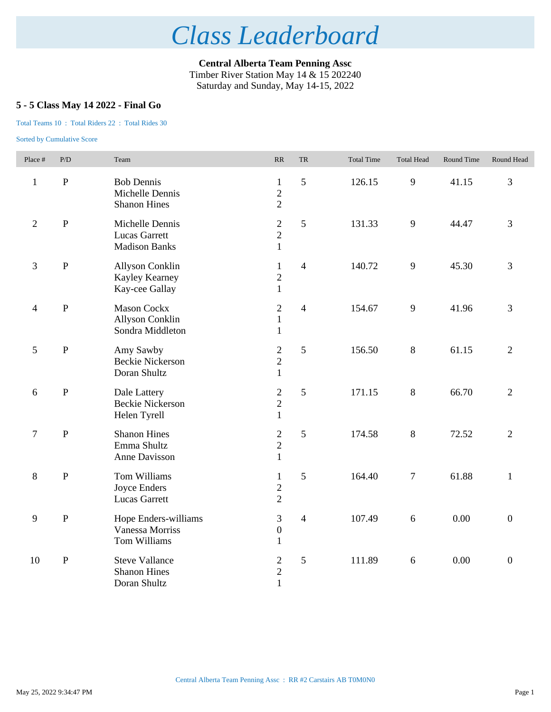**Central Alberta Team Penning Assc** Timber River Station May 14 & 15 202240 Saturday and Sunday, May 14-15, 2022

## **5 - 5 Class May 14 2022 - Final Go**

### Total Teams 10 : Total Riders 22 : Total Rides 30

| Place #        | P/D            | Team                                                            | $\ensuremath{\mathsf{RR}}\xspace$                | TR             | <b>Total Time</b> | <b>Total Head</b> | Round Time | Round Head       |
|----------------|----------------|-----------------------------------------------------------------|--------------------------------------------------|----------------|-------------------|-------------------|------------|------------------|
| $\mathbf{1}$   | $\, {\bf P}$   | <b>Bob Dennis</b><br>Michelle Dennis<br><b>Shanon Hines</b>     | $\mathbf{1}$<br>$\overline{2}$<br>$\overline{2}$ | 5              | 126.15            | 9                 | 41.15      | $\overline{3}$   |
| $\overline{2}$ | $\overline{P}$ | Michelle Dennis<br><b>Lucas Garrett</b><br><b>Madison Banks</b> | $\sqrt{2}$<br>$\overline{c}$<br>$\mathbf{1}$     | 5              | 131.33            | 9                 | 44.47      | $\overline{3}$   |
| 3              | ${\bf P}$      | Allyson Conklin<br>Kayley Kearney<br>Kay-cee Gallay             | $\mathbf{1}$<br>$\overline{2}$<br>$\mathbf{1}$   | $\overline{4}$ | 140.72            | 9                 | 45.30      | 3                |
| $\overline{4}$ | $\mathbf P$    | <b>Mason Cockx</b><br>Allyson Conklin<br>Sondra Middleton       | $\mathfrak{2}$<br>$\mathbf{1}$<br>$\mathbf{1}$   | $\overline{4}$ | 154.67            | 9                 | 41.96      | 3                |
| $\mathfrak{S}$ | $\, {\bf P}$   | Amy Sawby<br><b>Beckie Nickerson</b><br>Doran Shultz            | $\sqrt{2}$<br>$\overline{2}$<br>$\mathbf{1}$     | 5              | 156.50            | $8\,$             | 61.15      | $\overline{2}$   |
| 6              | $\, {\bf P}$   | Dale Lattery<br><b>Beckie Nickerson</b><br>Helen Tyrell         | $\overline{2}$<br>$\overline{c}$<br>$\mathbf{1}$ | 5              | 171.15            | $8\,$             | 66.70      | $\overline{2}$   |
| $\tau$         | $\mathbf P$    | <b>Shanon Hines</b><br>Emma Shultz<br>Anne Davisson             | $\overline{2}$<br>$\overline{2}$<br>$\mathbf{1}$ | 5              | 174.58            | $8\,$             | 72.52      | $\overline{2}$   |
| $8\,$          | $\, {\bf P}$   | Tom Williams<br>Joyce Enders<br><b>Lucas Garrett</b>            | $\mathbf{1}$<br>$\sqrt{2}$<br>$\overline{2}$     | 5              | 164.40            | $\tau$            | 61.88      | $\mathbf{1}$     |
| 9              | $\, {\bf P}$   | Hope Enders-williams<br>Vanessa Morriss<br>Tom Williams         | 3<br>$\boldsymbol{0}$<br>$\mathbf{1}$            | $\overline{4}$ | 107.49            | 6                 | 0.00       | $\boldsymbol{0}$ |
| 10             | ${\bf P}$      | <b>Steve Vallance</b><br><b>Shanon Hines</b><br>Doran Shultz    | $\sqrt{2}$<br>$\overline{c}$<br>$\mathbf{1}$     | $\sqrt{5}$     | 111.89            | $\sqrt{6}$        | 0.00       | $\boldsymbol{0}$ |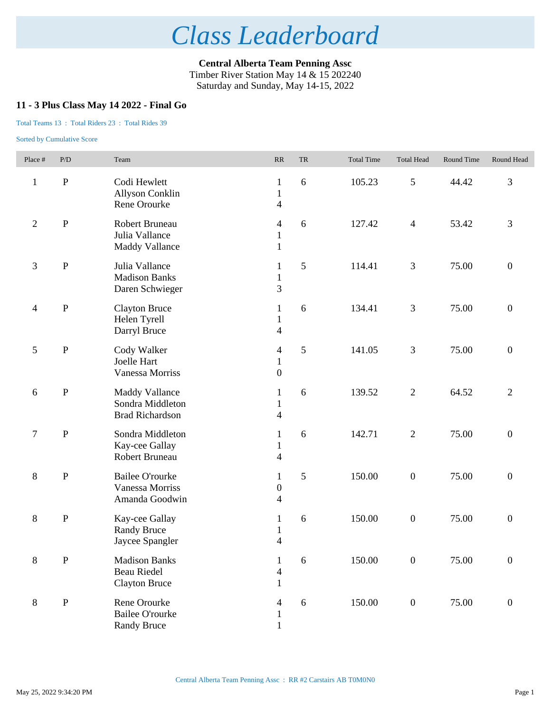**Central Alberta Team Penning Assc** Timber River Station May 14 & 15 202240 Saturday and Sunday, May 14-15, 2022

### **11 - 3 Plus Class May 14 2022 - Final Go**

### Total Teams 13 : Total Riders 23 : Total Rides 39

| Place #                  | P/D          | Team                                                                | $\ensuremath{\mathsf{RR}}\xspace$                        | TR         | <b>Total Time</b> | <b>Total Head</b> | Round Time | Round Head       |
|--------------------------|--------------|---------------------------------------------------------------------|----------------------------------------------------------|------------|-------------------|-------------------|------------|------------------|
| $\mathbf{1}$             | ${\bf P}$    | Codi Hewlett<br><b>Allyson Conklin</b><br>Rene Orourke              | $\mathbf{1}$<br>$\mathbf{1}$<br>$\overline{\mathcal{L}}$ | 6          | 105.23            | $\mathfrak{S}$    | 44.42      | 3                |
| $\overline{c}$           | ${\bf P}$    | Robert Bruneau<br>Julia Vallance<br><b>Maddy Vallance</b>           | 4<br>$\mathbf{1}$<br>$\mathbf{1}$                        | 6          | 127.42            | $\overline{4}$    | 53.42      | 3                |
| 3                        | $\, {\bf P}$ | Julia Vallance<br><b>Madison Banks</b><br>Daren Schwieger           | 1<br>$\mathbf{1}$<br>3                                   | 5          | 114.41            | $\mathfrak{Z}$    | 75.00      | $\boldsymbol{0}$ |
| $\overline{\mathcal{A}}$ | $\, {\bf P}$ | <b>Clayton Bruce</b><br>Helen Tyrell<br>Darryl Bruce                | $\mathbf{1}$<br>$\mathbf{1}$<br>$\overline{\mathbf{4}}$  | 6          | 134.41            | $\mathfrak{Z}$    | 75.00      | $\boldsymbol{0}$ |
| 5                        | ${\bf P}$    | Cody Walker<br>Joelle Hart<br>Vanessa Morriss                       | 4<br>$\mathbf{1}$<br>$\boldsymbol{0}$                    | 5          | 141.05            | 3                 | 75.00      | $\boldsymbol{0}$ |
| 6                        | $\, {\bf P}$ | <b>Maddy Vallance</b><br>Sondra Middleton<br><b>Brad Richardson</b> | $\mathbf{1}$<br>$\mathbf{1}$<br>$\overline{\mathcal{L}}$ | 6          | 139.52            | $\mathbf{2}$      | 64.52      | $\overline{2}$   |
| 7                        | $\, {\bf P}$ | Sondra Middleton<br>Kay-cee Gallay<br>Robert Bruneau                | $\mathbf{1}$<br>$\mathbf{1}$<br>$\overline{\mathcal{L}}$ | 6          | 142.71            | $\sqrt{2}$        | 75.00      | $\boldsymbol{0}$ |
| 8                        | $\mathbf{P}$ | <b>Bailee O'rourke</b><br>Vanessa Morriss<br>Amanda Goodwin         | $\mathbf{1}$<br>$\boldsymbol{0}$<br>4                    | 5          | 150.00            | $\boldsymbol{0}$  | 75.00      | $\boldsymbol{0}$ |
| 8                        | $\, {\bf P}$ | Kay-cee Gallay<br><b>Randy Bruce</b><br>Jaycee Spangler             | $\mathbf{1}$<br>$\mathbf{1}$<br>4                        | 6          | 150.00            | $\boldsymbol{0}$  | 75.00      | $\boldsymbol{0}$ |
| 8                        | ${\bf P}$    | <b>Madison Banks</b><br>Beau Riedel<br><b>Clayton Bruce</b>         | $\mathbf{1}$<br>$\overline{4}$<br>$\mathbf{1}$           | $\sqrt{6}$ | 150.00            | $\boldsymbol{0}$  | 75.00      | $\boldsymbol{0}$ |
| 8                        | ${\bf P}$    | Rene Orourke<br><b>Bailee O'rourke</b><br><b>Randy Bruce</b>        | 4<br>$\mathbf{1}$<br>$\mathbf{1}$                        | 6          | 150.00            | $\boldsymbol{0}$  | 75.00      | $\boldsymbol{0}$ |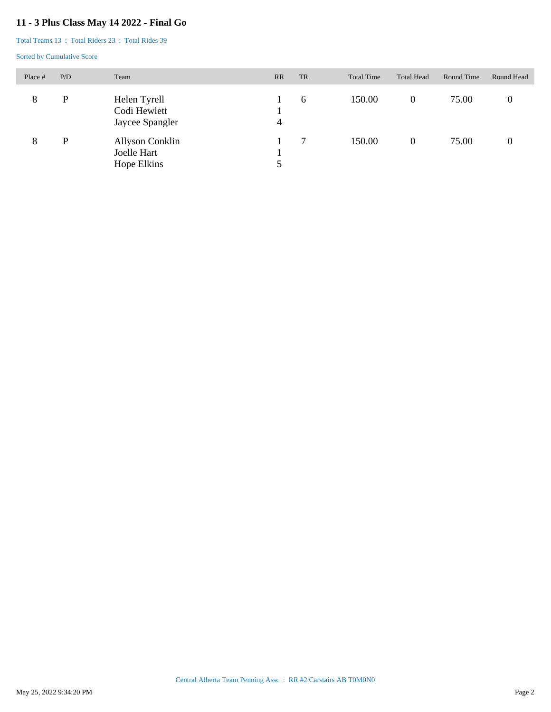## **11 - 3 Plus Class May 14 2022 - Final Go**

Total Teams 13 : Total Riders 23 : Total Rides 39

| Place # | P/D | Team                                            | RR             | <b>TR</b> | <b>Total Time</b> | <b>Total Head</b> | Round Time | Round Head  |
|---------|-----|-------------------------------------------------|----------------|-----------|-------------------|-------------------|------------|-------------|
| 8       | P   | Helen Tyrell<br>Codi Hewlett<br>Jaycee Spangler | $\overline{4}$ | 6         | 150.00            | $\overline{0}$    | 75.00      | $\mathbf 0$ |
| 8       | P   | Allyson Conklin<br>Joelle Hart<br>Hope Elkins   |                |           | 150.00            | $\overline{0}$    | 75.00      |             |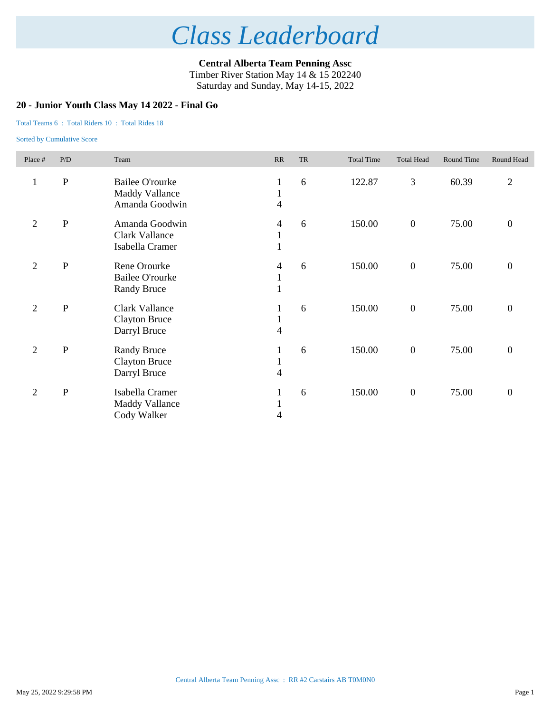**Central Alberta Team Penning Assc** Timber River Station May 14 & 15 202240 Saturday and Sunday, May 14-15, 2022

### **20 - Junior Youth Class May 14 2022 - Final Go**

#### Total Teams 6 : Total Riders 10 : Total Rides 18

| Place #        | P/D          | Team                                                              | RR                                | <b>TR</b> | <b>Total Time</b> | <b>Total Head</b> | Round Time | Round Head       |
|----------------|--------------|-------------------------------------------------------------------|-----------------------------------|-----------|-------------------|-------------------|------------|------------------|
| $\mathbf{1}$   | ${\bf P}$    | <b>Bailee O'rourke</b><br><b>Maddy Vallance</b><br>Amanda Goodwin | $\mathbf{1}$<br>$\mathbf{1}$<br>4 | 6         | 122.87            | 3                 | 60.39      | $\overline{2}$   |
| $\overline{c}$ | $\, {\bf P}$ | Amanda Goodwin<br><b>Clark Vallance</b><br>Isabella Cramer        | 4<br>$\mathbf{1}$<br>$\mathbf{1}$ | 6         | 150.00            | $\boldsymbol{0}$  | 75.00      | $\overline{0}$   |
| $\overline{2}$ | $\, {\bf P}$ | Rene Orourke<br><b>Bailee O'rourke</b><br><b>Randy Bruce</b>      | 4<br>$\perp$                      | 6         | 150.00            | $\boldsymbol{0}$  | 75.00      | $\boldsymbol{0}$ |
| $\mathfrak{2}$ | ${\bf P}$    | <b>Clark Vallance</b><br><b>Clayton Bruce</b><br>Darryl Bruce     | $\perp$<br>$\mathbf{1}$<br>4      | 6         | 150.00            | $\boldsymbol{0}$  | 75.00      | $\boldsymbol{0}$ |
| $\overline{2}$ | $\, {\bf P}$ | <b>Randy Bruce</b><br><b>Clayton Bruce</b><br>Darryl Bruce        | 1<br>$\mathbf{1}$<br>4            | 6         | 150.00            | $\boldsymbol{0}$  | 75.00      | $\overline{0}$   |
| $\overline{2}$ | ${\bf P}$    | Isabella Cramer<br><b>Maddy Vallance</b><br>Cody Walker           | $\mathbf{1}$<br>$\mathbf{1}$<br>4 | 6         | 150.00            | $\boldsymbol{0}$  | 75.00      | $\overline{0}$   |